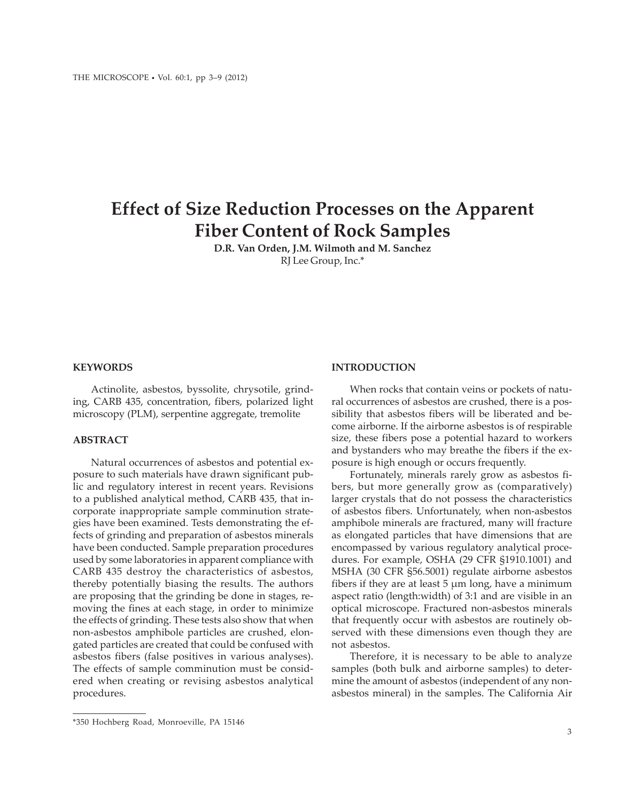# **Effect of Size Reduction Processes on the Apparent Fiber Content of Rock Samples**

**D.R. Van Orden, J.M. Wilmoth and M. Sanchez** RJ Lee Group, Inc.\*

## **KEYWORDS**

Actinolite, asbestos, byssolite, chrysotile, grinding, CARB 435, concentration, fibers, polarized light microscopy (PLM), serpentine aggregate, tremolite

## **ABSTRACT**

Natural occurrences of asbestos and potential exposure to such materials have drawn significant public and regulatory interest in recent years. Revisions to a published analytical method, CARB 435, that incorporate inappropriate sample comminution strategies have been examined. Tests demonstrating the effects of grinding and preparation of asbestos minerals have been conducted. Sample preparation procedures used by some laboratories in apparent compliance with CARB 435 destroy the characteristics of asbestos, thereby potentially biasing the results. The authors are proposing that the grinding be done in stages, removing the fines at each stage, in order to minimize the effects of grinding. These tests also show that when non-asbestos amphibole particles are crushed, elongated particles are created that could be confused with asbestos fibers (false positives in various analyses). The effects of sample comminution must be considered when creating or revising asbestos analytical procedures.

# **INTRODUCTION**

When rocks that contain veins or pockets of natural occurrences of asbestos are crushed, there is a possibility that asbestos fibers will be liberated and become airborne. If the airborne asbestos is of respirable size, these fibers pose a potential hazard to workers and bystanders who may breathe the fibers if the exposure is high enough or occurs frequently.

Fortunately, minerals rarely grow as asbestos fibers, but more generally grow as (comparatively) larger crystals that do not possess the characteristics of asbestos fibers. Unfortunately, when non-asbestos amphibole minerals are fractured, many will fracture as elongated particles that have dimensions that are encompassed by various regulatory analytical procedures. For example, OSHA (29 CFR §1910.1001) and MSHA (30 CFR §56.5001) regulate airborne asbestos fibers if they are at least  $5 \mu m$  long, have a minimum aspect ratio (length:width) of 3:1 and are visible in an optical microscope. Fractured non-asbestos minerals that frequently occur with asbestos are routinely observed with these dimensions even though they are not asbestos.

Therefore, it is necessary to be able to analyze samples (both bulk and airborne samples) to determine the amount of asbestos (independent of any nonasbestos mineral) in the samples. The California Air

<sup>\*350</sup> Hochberg Road, Monroeville, PA 15146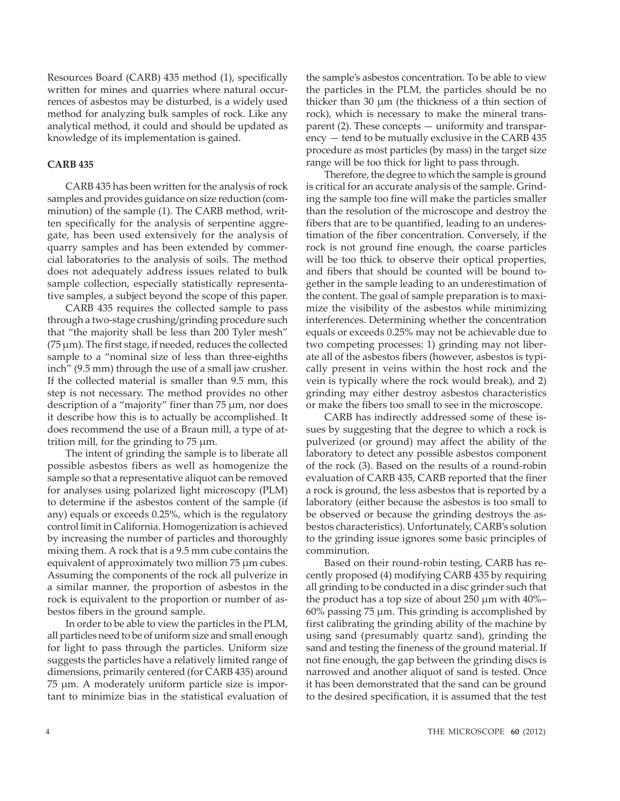Resources Board (CARB) 435 method (1), specifically written for mines and quarries where natural occurrences of asbestos may be disturbed, is a widely used method for analyzing bulk samples of rock. Like any analytical method, it could and should be updated as knowledge of its implementation is gained.

## **CARB 435**

CARB 435 has been written for the analysis of rock samples and provides guidance on size reduction (comminution) of the sample (1). The CARB method, written specifically for the analysis of serpentine aggregate, has been used extensively for the analysis of quarry samples and has been extended by commercial laboratories to the analysis of soils. The method does not adequately address issues related to bulk sample collection, especially statistically representative samples, a subject beyond the scope of this paper.

CARB 435 requires the collected sample to pass through a two-stage crushing/grinding procedure such that "the majority shall be less than 200 Tyler mesh"  $(75 \,\mu m)$ . The first stage, if needed, reduces the collected sample to a "nominal size of less than three-eighths inch" (9.5 mm) through the use of a small jaw crusher. If the collected material is smaller than 9.5 mm, this step is not necessary. The method provides no other description of a "majority" finer than 75 μm, nor does it describe how this is to actually be accomplished. It does recommend the use of a Braun mill, a type of attrition mill, for the grinding to 75 μm.

The intent of grinding the sample is to liberate all possible asbestos fibers as well as homogenize the sample so that a representative aliquot can be removed for analyses using polarized light microscopy (PLM) to determine if the asbestos content of the sample (if any) equals or exceeds 0.25%, which is the regulatory control limit in California. Homogenization is achieved by increasing the number of particles and thoroughly mixing them. A rock that is a 9.5 mm cube contains the equivalent of approximately two million 75 μm cubes. Assuming the components of the rock all pulverize in a similar manner, the proportion of asbestos in the rock is equivalent to the proportion or number of asbestos fibers in the ground sample.

In order to be able to view the particles in the PLM, all particles need to be of uniform size and small enough for light to pass through the particles. Uniform size suggests the particles have a relatively limited range of dimensions, primarily centered (for CARB 435) around 75 μm. A moderately uniform particle size is important to minimize bias in the statistical evaluation of the sample's asbestos concentration. To be able to view the particles in the PLM, the particles should be no thicker than 30 μm (the thickness of a thin section of rock), which is necessary to make the mineral transparent (2). These concepts — uniformity and transparency — tend to be mutually exclusive in the CARB 435 procedure as most particles (by mass) in the target size range will be too thick for light to pass through.

Therefore, the degree to which the sample is ground is critical for an accurate analysis of the sample. Grinding the sample too fine will make the particles smaller than the resolution of the microscope and destroy the fibers that are to be quantified, leading to an underestimation of the fiber concentration. Conversely, if the rock is not ground fine enough, the coarse particles will be too thick to observe their optical properties, and fibers that should be counted will be bound together in the sample leading to an underestimation of the content. The goal of sample preparation is to maximize the visibility of the asbestos while minimizing interferences. Determining whether the concentration equals or exceeds 0.25% may not be achievable due to two competing processes: 1) grinding may not liberate all of the asbestos fibers (however, asbestos is typically present in veins within the host rock and the vein is typically where the rock would break), and 2) grinding may either destroy asbestos characteristics or make the fibers too small to see in the microscope.

CARB has indirectly addressed some of these issues by suggesting that the degree to which a rock is pulverized (or ground) may affect the ability of the laboratory to detect any possible asbestos component of the rock (3). Based on the results of a round-robin evaluation of CARB 435, CARB reported that the finer a rock is ground, the less asbestos that is reported by a laboratory (either because the asbestos is too small to be observed or because the grinding destroys the asbestos characteristics). Unfortunately, CARB's solution to the grinding issue ignores some basic principles of comminution.

Based on their round-robin testing, CARB has recently proposed (4) modifying CARB 435 by requiring all grinding to be conducted in a disc grinder such that the product has a top size of about 250 μm with 40%– 60% passing 75 μm. This grinding is accomplished by first calibrating the grinding ability of the machine by using sand (presumably quartz sand), grinding the sand and testing the fineness of the ground material. If not fine enough, the gap between the grinding discs is narrowed and another aliquot of sand is tested. Once it has been demonstrated that the sand can be ground to the desired specification, it is assumed that the test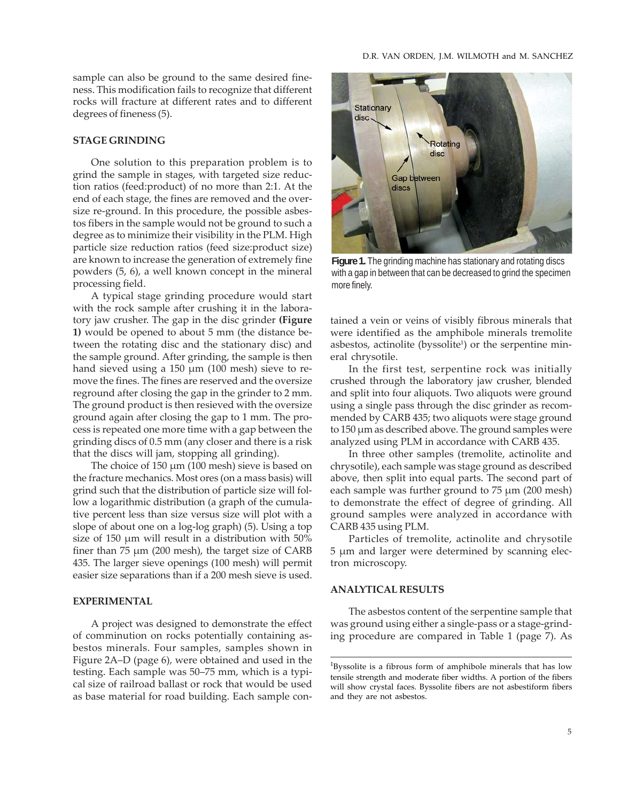sample can also be ground to the same desired fineness. This modification fails to recognize that different rocks will fracture at different rates and to different degrees of fineness (5).

## **STAGE GRINDING**

One solution to this preparation problem is to grind the sample in stages, with targeted size reduction ratios (feed:product) of no more than 2:1. At the end of each stage, the fines are removed and the oversize re-ground. In this procedure, the possible asbestos fibers in the sample would not be ground to such a degree as to minimize their visibility in the PLM. High particle size reduction ratios (feed size:product size) are known to increase the generation of extremely fine powders (5, 6), a well known concept in the mineral processing field.

A typical stage grinding procedure would start with the rock sample after crushing it in the laboratory jaw crusher. The gap in the disc grinder **(Figure 1)** would be opened to about 5 mm (the distance between the rotating disc and the stationary disc) and the sample ground. After grinding, the sample is then hand sieved using a 150 μm (100 mesh) sieve to remove the fines. The fines are reserved and the oversize reground after closing the gap in the grinder to 2 mm. The ground product is then resieved with the oversize ground again after closing the gap to 1 mm. The process is repeated one more time with a gap between the grinding discs of 0.5 mm (any closer and there is a risk that the discs will jam, stopping all grinding).

The choice of 150 μm (100 mesh) sieve is based on the fracture mechanics. Most ores (on a mass basis) will grind such that the distribution of particle size will follow a logarithmic distribution (a graph of the cumulative percent less than size versus size will plot with a slope of about one on a log-log graph) (5). Using a top size of 150 μm will result in a distribution with 50% finer than 75 μm (200 mesh), the target size of CARB 435. The larger sieve openings (100 mesh) will permit easier size separations than if a 200 mesh sieve is used.

# **EXPERIMENTAL**

A project was designed to demonstrate the effect of comminution on rocks potentially containing asbestos minerals. Four samples, samples shown in Figure 2A–D (page 6), were obtained and used in the testing. Each sample was 50–75 mm, which is a typical size of railroad ballast or rock that would be used as base material for road building. Each sample con-



**Figure 1.** The grinding machine has stationary and rotating discs with a gap in between that can be decreased to grind the specimen more finely.

tained a vein or veins of visibly fibrous minerals that were identified as the amphibole minerals tremolite asbestos, actinolite (byssolite<sup>1</sup>) or the serpentine mineral chrysotile.

In the first test, serpentine rock was initially crushed through the laboratory jaw crusher, blended and split into four aliquots. Two aliquots were ground using a single pass through the disc grinder as recommended by CARB 435; two aliquots were stage ground to 150 μm as described above. The ground samples were analyzed using PLM in accordance with CARB 435.

In three other samples (tremolite, actinolite and chrysotile), each sample was stage ground as described above, then split into equal parts. The second part of each sample was further ground to 75 μm (200 mesh) to demonstrate the effect of degree of grinding. All ground samples were analyzed in accordance with CARB 435 using PLM.

Particles of tremolite, actinolite and chrysotile 5 μm and larger were determined by scanning electron microscopy.

#### **ANALYTICAL RESULTS**

The asbestos content of the serpentine sample that was ground using either a single-pass or a stage-grinding procedure are compared in Table 1 (page 7). As

<sup>&</sup>lt;sup>1</sup>Byssolite is a fibrous form of amphibole minerals that has low tensile strength and moderate fiber widths. A portion of the fibers will show crystal faces. Byssolite fibers are not asbestiform fibers and they are not asbestos.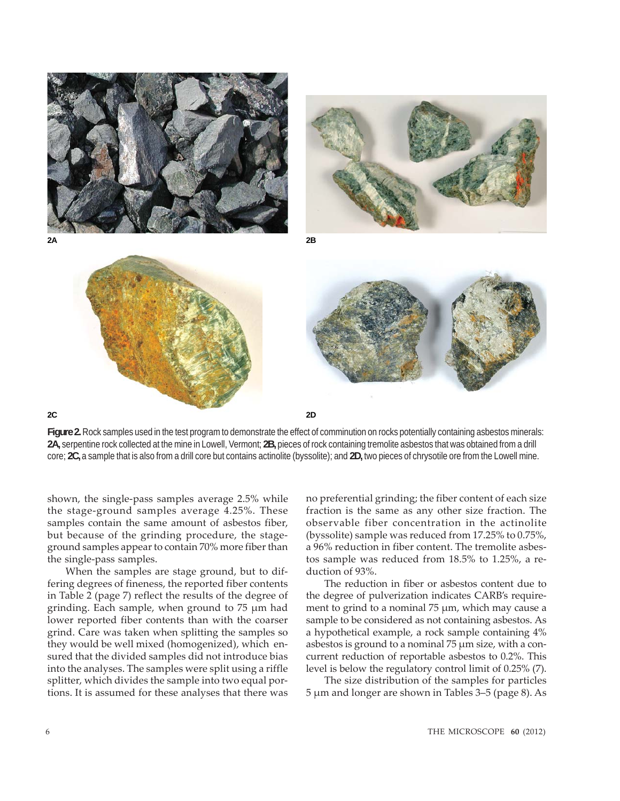

**Figure 2.** Rock samples used in the test program to demonstrate the effect of comminution on rocks potentially containing asbestos minerals: **2A,** serpentine rock collected at the mine in Lowell, Vermont; **2B,** pieces of rock containing tremolite asbestos that was obtained from a drill core; **2C,** a sample that is also from a drill core but contains actinolite (byssolite); and **2D,** two pieces of chrysotile ore from the Lowell mine.

shown, the single-pass samples average 2.5% while the stage-ground samples average 4.25%. These samples contain the same amount of asbestos fiber, but because of the grinding procedure, the stageground samples appear to contain 70% more fiber than the single-pass samples.

When the samples are stage ground, but to differing degrees of fineness, the reported fiber contents in Table 2 (page 7) reflect the results of the degree of grinding. Each sample, when ground to 75 μm had lower reported fiber contents than with the coarser grind. Care was taken when splitting the samples so they would be well mixed (homogenized), which ensured that the divided samples did not introduce bias into the analyses. The samples were split using a riffle splitter, which divides the sample into two equal portions. It is assumed for these analyses that there was no preferential grinding; the fiber content of each size fraction is the same as any other size fraction. The observable fiber concentration in the actinolite (byssolite) sample was reduced from 17.25% to 0.75%, a 96% reduction in fiber content. The tremolite asbestos sample was reduced from 18.5% to 1.25%, a reduction of 93%.

The reduction in fiber or asbestos content due to the degree of pulverization indicates CARB's requirement to grind to a nominal 75 μm, which may cause a sample to be considered as not containing asbestos. As a hypothetical example, a rock sample containing 4% asbestos is ground to a nominal 75 μm size, with a concurrent reduction of reportable asbestos to 0.2%. This level is below the regulatory control limit of 0.25% (7).

The size distribution of the samples for particles 5 μm and longer are shown in Tables 3–5 (page 8). As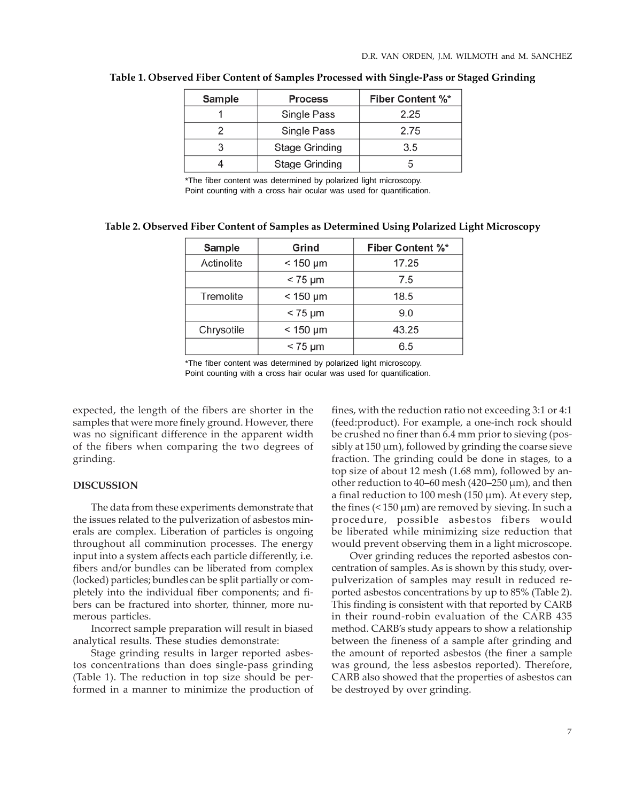| Sample | <b>Process</b>        | <b>Fiber Content %*</b> |
|--------|-----------------------|-------------------------|
|        | Single Pass           | 2.25                    |
|        | Single Pass           | 2.75                    |
|        | <b>Stage Grinding</b> | 3.5                     |
|        | <b>Stage Grinding</b> |                         |

#### **Table 1. Observed Fiber Content of Samples Processed with Single-Pass or Staged Grinding**

\*The fiber content was determined by polarized light microscopy. Point counting with a cross hair ocular was used for quantification.

| Table 2. Observed Fiber Content of Samples as Determined Using Polarized Light Microscopy |  |  |  |
|-------------------------------------------------------------------------------------------|--|--|--|
|                                                                                           |  |  |  |

| Sample     | Grind           | <b>Fiber Content %*</b> |  |  |
|------------|-----------------|-------------------------|--|--|
| Actinolite | $<$ 150 $\mu$ m | 17.25                   |  |  |
|            | $< 75 \mu m$    | 7.5                     |  |  |
| Tremolite  | $<$ 150 $\mu$ m | 18.5                    |  |  |
|            | $< 75 \mu m$    | 9.0                     |  |  |
| Chrysotile | $<$ 150 µm      | 43.25                   |  |  |
|            | $< 75 \mu m$    | 6.5                     |  |  |

\*The fiber content was determined by polarized light microscopy. Point counting with a cross hair ocular was used for quantification.

expected, the length of the fibers are shorter in the samples that were more finely ground. However, there was no significant difference in the apparent width of the fibers when comparing the two degrees of grinding.

#### **DISCUSSION**

The data from these experiments demonstrate that the issues related to the pulverization of asbestos minerals are complex. Liberation of particles is ongoing throughout all comminution processes. The energy input into a system affects each particle differently, i.e. fibers and/or bundles can be liberated from complex (locked) particles; bundles can be split partially or completely into the individual fiber components; and fibers can be fractured into shorter, thinner, more numerous particles.

Incorrect sample preparation will result in biased analytical results. These studies demonstrate:

Stage grinding results in larger reported asbestos concentrations than does single-pass grinding (Table 1). The reduction in top size should be performed in a manner to minimize the production of fines, with the reduction ratio not exceeding 3:1 or 4:1 (feed:product). For example, a one-inch rock should be crushed no finer than 6.4 mm prior to sieving (possibly at 150 μm), followed by grinding the coarse sieve fraction. The grinding could be done in stages, to a top size of about 12 mesh (1.68 mm), followed by another reduction to 40–60 mesh (420–250 μm), and then a final reduction to 100 mesh (150 μm). At every step, the fines (< 150 μm) are removed by sieving. In such a procedure, possible asbestos fibers would be liberated while minimizing size reduction that would prevent observing them in a light microscope.

Over grinding reduces the reported asbestos concentration of samples. As is shown by this study, overpulverization of samples may result in reduced reported asbestos concentrations by up to 85% (Table 2). This finding is consistent with that reported by CARB in their round-robin evaluation of the CARB 435 method. CARB's study appears to show a relationship between the fineness of a sample after grinding and the amount of reported asbestos (the finer a sample was ground, the less asbestos reported). Therefore, CARB also showed that the properties of asbestos can be destroyed by over grinding.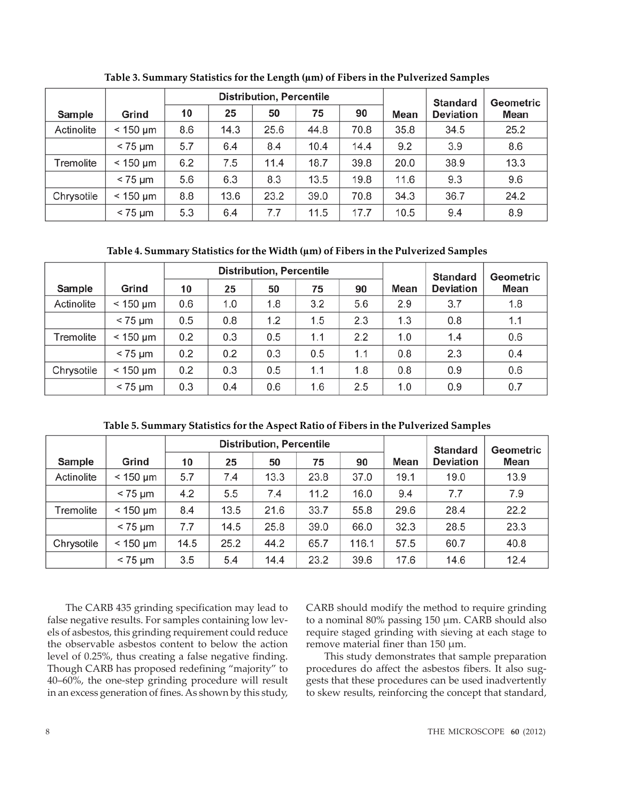|            |               | <b>Distribution, Percentile</b> |      |      |      |      |      | <b>Standard</b>  | Geometric |
|------------|---------------|---------------------------------|------|------|------|------|------|------------------|-----------|
| Sample     | Grind         | 10                              | 25   | 50   | 75   | 90   | Mean | <b>Deviation</b> | Mean      |
| Actinolite | $< 150 \mu m$ | 8.6                             | 14.3 | 25.6 | 44.8 | 70.8 | 35.8 | 34.5             | 25.2      |
|            | $< 75 \mu m$  | 5.7                             | 6.4  | 8.4  | 10.4 | 14.4 | 9.2  | 3.9              | 8.6       |
| Tremolite  | $< 150 \mu m$ | 6.2                             | 7.5  | 11.4 | 18.7 | 39.8 | 20.0 | 38.9             | 13.3      |
|            | $< 75 \mu m$  | 5.6                             | 6.3  | 8.3  | 13.5 | 19.8 | 11.6 | 9.3              | 9.6       |
| Chrysotile | $< 150 \mu m$ | 8.8                             | 13.6 | 23.2 | 39.0 | 70.8 | 34.3 | 36.7             | 24.2      |
|            | $< 75 \mu m$  | 5.3                             | 6.4  | 7.7  | 11.5 | 17.7 | 10.5 | 9.4              | 8.9       |

**Table 3. Summary Statistics for the Length (μm) of Fibers in the Pulverized Samples**

**Table 4. Summary Statistics for the Width (μm) of Fibers in the Pulverized Samples**

|            |                 |     |     | <b>Distribution, Percentile</b> |     | <b>Standard</b> | <b>Geometric</b> |                  |             |
|------------|-----------------|-----|-----|---------------------------------|-----|-----------------|------------------|------------------|-------------|
| Sample     | Grind           | 10  | 25  | 50                              | 75  | 90              | Mean             | <b>Deviation</b> | <b>Mean</b> |
| Actinolite | $< 150 \mu m$   | 0.6 | 1.0 | 1.8                             | 3.2 | 5.6             | 2.9              | 3.7              | 1.8         |
|            | $< 75 \mu m$    | 0.5 | 0.8 | 1.2                             | 1.5 | 2.3             | 1.3              | 0.8              | 1.1         |
| Tremolite  | $< 150 \mu m$   | 0.2 | 0.3 | 0.5                             | 1.1 | 2.2             | 1.0              | 1.4              | 0.6         |
|            | $< 75 \mu m$    | 0.2 | 0.2 | 0.3                             | 0.5 | 1.1             | 0.8              | 2.3              | 0.4         |
| Chrysotile | $<$ 150 $\mu$ m | 0.2 | 0.3 | 0.5                             | 1.1 | 1.8             | 0.8              | 0.9              | 0.6         |
|            | $< 75 \mu m$    | 0.3 | 0.4 | 0.6                             | 1.6 | 2.5             | 1.0              | 0.9              | 0.7         |

**Table 5. Summary Statistics for the Aspect Ratio of Fibers in the Pulverized Samples**

|            |               |      |      | <b>Distribution, Percentile</b> |      | <b>Standard</b> | Geometric |                  |      |
|------------|---------------|------|------|---------------------------------|------|-----------------|-----------|------------------|------|
| Sample     | Grind         | 10   | 25   | 50                              | 75   | 90              | Mean      | <b>Deviation</b> | Mean |
| Actinolite | $< 150 \mu m$ | 5.7  | 7.4  | 13.3                            | 23.8 | 37.0            | 19.1      | 19.0             | 13.9 |
|            | $< 75 \mu m$  | 4.2  | 5.5  | 7.4                             | 11.2 | 16.0            | 9.4       | 7.7              | 7.9  |
| Tremolite  | $<$ 150 µm    | 8.4  | 13.5 | 21.6                            | 33.7 | 55.8            | 29.6      | 28.4             | 22.2 |
|            | $< 75 \mu m$  | 7.7  | 14.5 | 25.8                            | 39.0 | 66.0            | 32.3      | 28.5             | 23.3 |
| Chrysotile | $< 150 \mu m$ | 14.5 | 25.2 | 44.2                            | 65.7 | 116.1           | 57.5      | 60.7             | 40.8 |
|            | $< 75 \mu m$  | 3.5  | 5.4  | 14.4                            | 23.2 | 39.6            | 17.6      | 14.6             | 12.4 |

The CARB 435 grinding specification may lead to false negative results. For samples containing low levels of asbestos, this grinding requirement could reduce the observable asbestos content to below the action level of 0.25%, thus creating a false negative finding. Though CARB has proposed redefining "majority" to 40–60%, the one-step grinding procedure will result in an excess generation of fines. As shown by this study, CARB should modify the method to require grinding to a nominal 80% passing 150 μm. CARB should also require staged grinding with sieving at each stage to remove material finer than 150 μm.

This study demonstrates that sample preparation procedures do affect the asbestos fibers. It also suggests that these procedures can be used inadvertently to skew results, reinforcing the concept that standard,